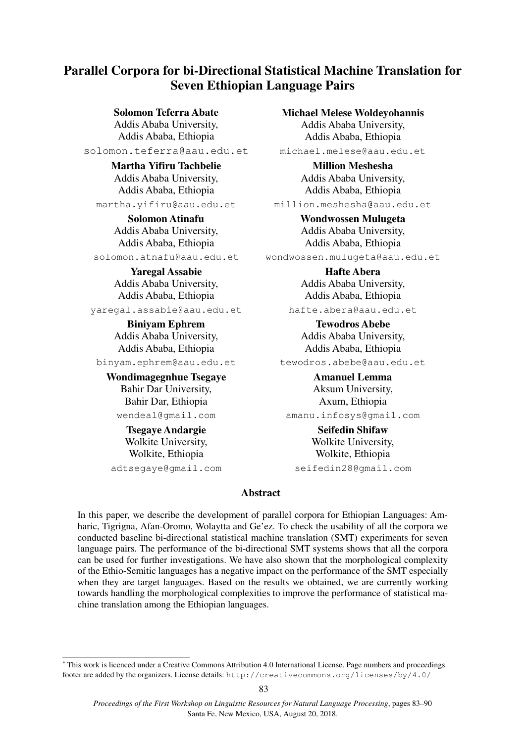# **Parallel Corpora for bi-Directional Statistical Machine Translation for Seven Ethiopian Language Pairs**

### **Solomon Teferra Abate**

Addis Ababa University, Addis Ababa, Ethiopia

solomon.teferra@aau.edu.et

**Martha Yifiru Tachbelie** Addis Ababa University, Addis Ababa, Ethiopia

martha.yifiru@aau.edu.et

**Solomon Atinafu** Addis Ababa University, Addis Ababa, Ethiopia solomon.atnafu@aau.edu.et

> **Yaregal Assabie** Addis Ababa University, Addis Ababa, Ethiopia

yaregal.assabie@aau.edu.et

**Biniyam Ephrem** Addis Ababa University, Addis Ababa, Ethiopia binyam.ephrem@aau.edu.et

**Wondimagegnhue Tsegaye** Bahir Dar University,

Bahir Dar, Ethiopia wendeal@gmail.com

**Tsegaye Andargie** Wolkite University, Wolkite, Ethiopia

adtsegaye@gmail.com

**Michael Melese Woldeyohannis**

Addis Ababa University, Addis Ababa, Ethiopia michael.melese@aau.edu.et

> **Million Meshesha** Addis Ababa University, Addis Ababa, Ethiopia

million.meshesha@aau.edu.et

**Wondwossen Mulugeta** Addis Ababa University, Addis Ababa, Ethiopia wondwossen.mulugeta@aau.edu.et

> **Hafte Abera** Addis Ababa University, Addis Ababa, Ethiopia hafte.abera@aau.edu.et

**Tewodros Abebe** Addis Ababa University, Addis Ababa, Ethiopia

tewodros.abebe@aau.edu.et **Amanuel Lemma**

Aksum University, Axum, Ethiopia amanu.infosys@gmail.com

### **Seifedin Shifaw**

Wolkite University, Wolkite, Ethiopia seifedin28@gmail.com

#### **Abstract\***

In this paper, we describe the development of parallel corpora for Ethiopian Languages: Amharic, Tigrigna, Afan-Oromo, Wolaytta and Ge'ez. To check the usability of all the corpora we conducted baseline bi-directional statistical machine translation (SMT) experiments for seven language pairs. The performance of the bi-directional SMT systems shows that all the corpora can be used for further investigations. We have also shown that the morphological complexity of the Ethio-Semitic languages has a negative impact on the performance of the SMT especially when they are target languages. Based on the results we obtained, we are currently working towards handling the morphological complexities to improve the performance of statistical machine translation among the Ethiopian languages.

<sup>\*&</sup>lt;br> **This work is licenced under a Creative Commons Attribution 4.0 International License. Page numbers and proceedings** footer are added by the organizers. License details: http://creativecommons.org/licenses/by/4.0/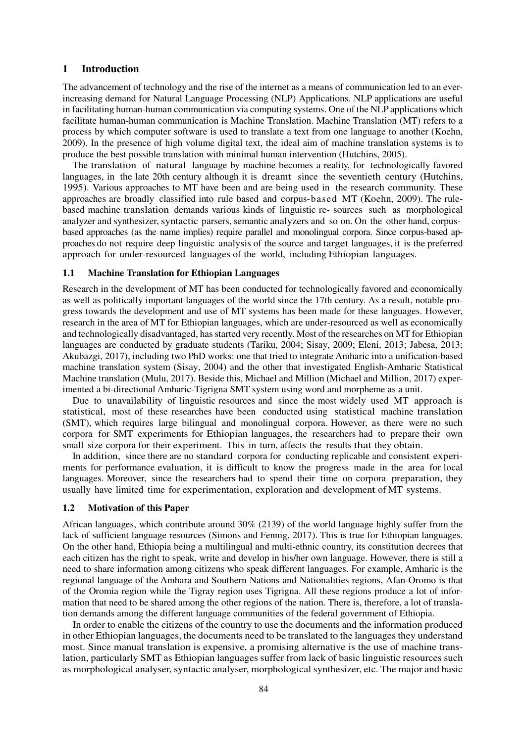#### **1 Introduction**

The advancement of technology and the rise of the internet as a means of communication led to an everincreasing demand for Natural Language Processing (NLP) Applications. NLP applications are useful in facilitating human-human communication via computing systems. One of the NLP applications which facilitate human-human communication is Machine Translation. Machine Translation (MT) refers to a process by which computer software is used to translate a text from one language to another (Koehn, 2009). In the presence of high volume digital text, the ideal aim of machine translation systems is to produce the best possible translation with minimal human intervention (Hutchins, 2005).

The translation of natural language by machine becomes a reality, for technologically favored languages, in the late 20th century although it is dreamt since the seventieth century (Hutchins, 1995). Various approaches to MT have been and are being used in the research community. These approaches are broadly classified into rule based and corpus-based MT (Koehn, 2009). The rulebased machine translation demands various kinds of linguistic re- sources such as morphological analyzer and synthesizer, syntactic parsers, semantic analyzers and so on. On the other hand, corpusbased approaches (as the name implies) require parallel and monolingual corpora. Since corpus-based approaches do not require deep linguistic analysis of the source and target languages, it is the preferred approach for under-resourced languages of the world, including Ethiopian languages.

#### **1.1 Machine Translation for Ethiopian Languages**

Research in the development of MT has been conducted for technologically favored and economically as well as politically important languages of the world since the 17th century. As a result, notable progress towards the development and use of MT systems has been made for these languages. However, research in the area of MT for Ethiopian languages, which are under-resourced as well as economically and technologically disadvantaged, has started very recently. Most of the researches on MT for Ethiopian languages are conducted by graduate students (Tariku, 2004; Sisay, 2009; Eleni, 2013; Jabesa, 2013; Akubazgi, 2017), including two PhD works: one that tried to integrate Amharic into a unification-based machine translation system (Sisay, 2004) and the other that investigated English-Amharic Statistical Machine translation (Mulu, 2017). Beside this, Michael and Million (Michael and Million, 2017) experimented a bi-directional Amharic-Tigrigna SMT system using word and morpheme as a unit.

Due to unavailability of linguistic resources and since the most widely used MT approach is statistical, most of these researches have been conducted using statistical machine translation (SMT), which requires large bilingual and monolingual corpora. However, as there were no such corpora for SMT experiments for Ethiopian languages, the researchers had to prepare their own small size corpora for their experiment. This in turn, affects the results that they obtain.

In addition, since there are no standard corpora for conducting replicable and consistent experiments for performance evaluation, it is difficult to know the progress made in the area for local languages. Moreover, since the researchers had to spend their time on corpora preparation, they usually have limited time for experimentation, exploration and development of MT systems.

#### **1.2 Motivation of this Paper**

African languages, which contribute around 30% (2139) of the world language highly suffer from the lack of sufficient language resources (Simons and Fennig, 2017). This is true for Ethiopian languages. On the other hand, Ethiopia being a multilingual and multi-ethnic country, its constitution decrees that each citizen has the right to speak, write and develop in his/her own language. However, there is still a need to share information among citizens who speak different languages. For example, Amharic is the regional language of the Amhara and Southern Nations and Nationalities regions, Afan-Oromo is that of the Oromia region while the Tigray region uses Tigrigna. All these regions produce a lot of information that need to be shared among the other regions of the nation. There is, therefore, a lot of translation demands among the different language communities of the federal government of Ethiopia.

In order to enable the citizens of the country to use the documents and the information produced in other Ethiopian languages, the documents need to be translated to the languages they understand most. Since manual translation is expensive, a promising alternative is the use of machine translation, particularly SMT as Ethiopian languages suffer from lack of basic linguistic resources such as morphological analyser, syntactic analyser, morphological synthesizer, etc. The major and basic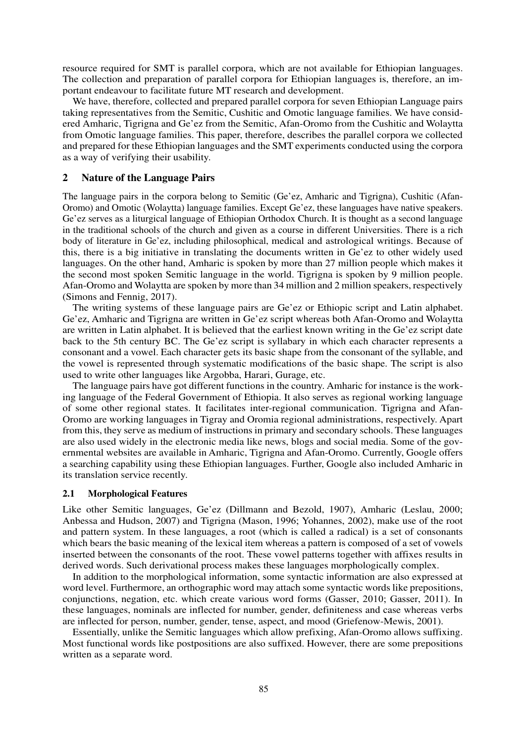resource required for SMT is parallel corpora, which are not available for Ethiopian languages. The collection and preparation of parallel corpora for Ethiopian languages is, therefore, an important endeavour to facilitate future MT research and development.

We have, therefore, collected and prepared parallel corpora for seven Ethiopian Language pairs taking representatives from the Semitic, Cushitic and Omotic language families. We have considered Amharic, Tigrigna and Ge'ez from the Semitic, Afan-Oromo from the Cushitic and Wolaytta from Omotic language families. This paper, therefore, describes the parallel corpora we collected and prepared for these Ethiopian languages and the SMT experiments conducted using the corpora as a way of verifying their usability.

#### **2 Nature of the Language Pairs**

The language pairs in the corpora belong to Semitic (Ge'ez, Amharic and Tigrigna), Cushitic (Afan-Oromo) and Omotic (Wolaytta) language families. Except Ge'ez, these languages have native speakers. Ge'ez serves as a liturgical language of Ethiopian Orthodox Church. It is thought as a second language in the traditional schools of the church and given as a course in different Universities. There is a rich body of literature in Ge'ez, including philosophical, medical and astrological writings. Because of this, there is a big initiative in translating the documents written in Ge'ez to other widely used languages. On the other hand, Amharic is spoken by more than 27 million people which makes it the second most spoken Semitic language in the world. Tigrigna is spoken by 9 million people. Afan-Oromo and Wolaytta are spoken by more than 34 million and 2 million speakers, respectively (Simons and Fennig, 2017).

The writing systems of these language pairs are Ge'ez or Ethiopic script and Latin alphabet. Ge'ez, Amharic and Tigrigna are written in Ge'ez script whereas both Afan-Oromo and Wolaytta are written in Latin alphabet. It is believed that the earliest known writing in the Ge'ez script date back to the 5th century BC. The Ge'ez script is syllabary in which each character represents a consonant and a vowel. Each character gets its basic shape from the consonant of the syllable, and the vowel is represented through systematic modifications of the basic shape. The script is also used to write other languages like Argobba, Harari, Gurage, etc.

The language pairs have got different functions in the country. Amharic for instance is the working language of the Federal Government of Ethiopia. It also serves as regional working language of some other regional states. It facilitates inter-regional communication. Tigrigna and Afan-Oromo are working languages in Tigray and Oromia regional administrations, respectively. Apart from this, they serve as medium of instructions in primary and secondary schools. These languages are also used widely in the electronic media like news, blogs and social media. Some of the governmental websites are available in Amharic, Tigrigna and Afan-Oromo. Currently, Google offers a searching capability using these Ethiopian languages. Further, Google also included Amharic in its translation service recently.

#### **2.1 Morphological Features**

Like other Semitic languages, Ge'ez (Dillmann and Bezold, 1907), Amharic (Leslau, 2000; Anbessa and Hudson, 2007) and Tigrigna (Mason, 1996; Yohannes, 2002), make use of the root and pattern system. In these languages, a root (which is called a radical) is a set of consonants which bears the basic meaning of the lexical item whereas a pattern is composed of a set of vowels inserted between the consonants of the root. These vowel patterns together with affixes results in derived words. Such derivational process makes these languages morphologically complex.

In addition to the morphological information, some syntactic information are also expressed at word level. Furthermore, an orthographic word may attach some syntactic words like prepositions, conjunctions, negation, etc. which create various word forms (Gasser, 2010; Gasser, 2011). In these languages, nominals are inflected for number, gender, definiteness and case whereas verbs are inflected for person, number, gender, tense, aspect, and mood (Griefenow-Mewis, 2001).

Essentially, unlike the Semitic languages which allow prefixing, Afan-Oromo allows suffixing. Most functional words like postpositions are also suffixed. However, there are some prepositions written as a separate word.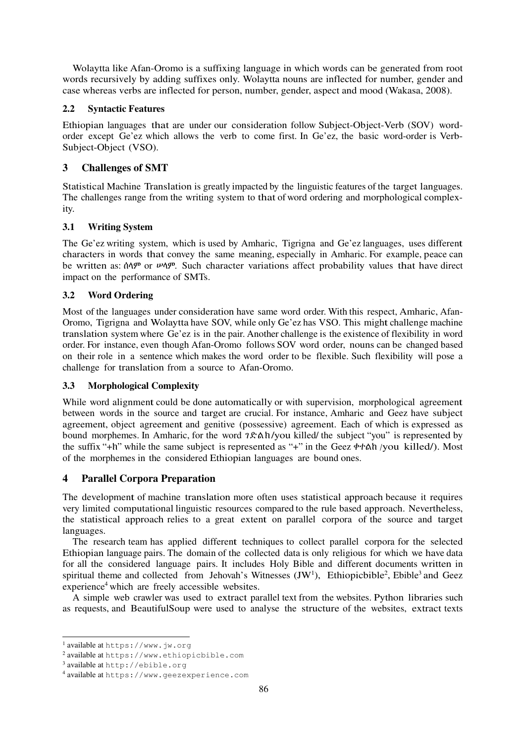Wolaytta like Afan-Oromo is a suffixing language in which words can be generated from root words recursively by adding suffixes only. Wolaytta nouns are inflected for number, gender and case whereas verbs are inflected for person, number, gender, aspect and mood (Wakasa, 2008).

### **2.2 Syntactic Features**

Ethiopian languages that are under our consideration follow Subject-Object-Verb (SOV) wordorder except Ge'ez which allows the verb to come first. In Ge'ez, the basic word-order is Verb-Subject-Object (VSO).

## **3 Challenges of SMT**

Statistical Machine Translation is greatly impacted by the linguistic features of the target languages. The challenges range from the writing system to that of word ordering and morphological complexity.

## **3.1 Writing System**

The Ge'ez writing system, which is used by Amharic, Tigrigna and Ge'ez languages, uses different characters in words that convey the same meaning, especially in Amharic. For example, peace can be written as:  $\hat{\theta}$  or  $\hat{\theta}$  or  $\hat{\theta}$ . Such character variations affect probability values that have direct impact on the performance of SMTs.

## **3.2 Word Ordering**

Most of the languages under consideration have same word order. With this respect, Amharic, Afan-Oromo, Tigrigna and Wolaytta have SOV, while only Ge'ez has VSO. This might challenge machine translation system where Ge'ez is in the pair. Another challenge is the existence of flexibility in word order. For instance, even though Afan-Oromo follows SOV word order, nouns can be changed based on their role in a sentence which makes the word order to be flexible. Such flexibility will pose a challenge for translation from a source to Afan-Oromo.

### **3.3 Morphological Complexity**

While word alignment could be done automatically or with supervision, morphological agreement between words in the source and target are crucial. For instance, Amharic and Geez have subject agreement, object agreement and genitive (possessive) agreement. Each of which is expressed as bound morphemes. In Amharic, for the word ገድል ክ/you killed/ the subject "you" is represented by the suffix "+ክ" while the same subject is represented as "+" in the Geez ቀተልከ
/you killed/). Most of the morphemes in the considered Ethiopian languages are bound ones.

## **4 Parallel Corpora Preparation**

The development of machine translation more often uses statistical approach because it requires very limited computational linguistic resources compared to the rule based approach. Nevertheless, the statistical approach relies to a great extent on parallel corpora of the source and target languages.

The research team has applied different techniques to collect parallel corpora for the selected Ethiopian language pairs. The domain of the collected data is only religious for which we have data for all the considered language pairs. It includes Holy Bible and different documents written in spiritual theme and collected from Jehovah's Witnesses  $(JW<sup>1</sup>)$ , Ethiopicbible<sup>2</sup>, Ebible<sup>3</sup> and Geez experience<sup>4</sup> which are freely accessible websites.

A simple web crawler was used to extract parallel text from the websites. Python libraries such as requests, and BeautifulSoup were used to analyse the structure of the websites, extract texts

 1 available at https://www.jw.org

<sup>2</sup> available at https://www.ethiopicbible.com

<sup>3</sup> available at http://ebible.org

<sup>4</sup> available at https://www.geezexperience.com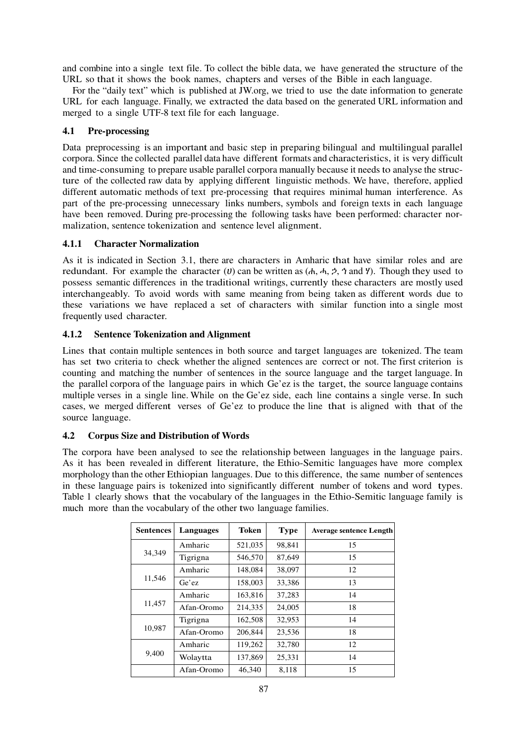and combine into a single text file. To collect the bible data, we have generated the structure of the URL so that it shows the book names, chapters and verses of the Bible in each language.

For the "daily text" which is published at JW.org, we tried to use the date information to generate URL for each language. Finally, we extracted the data based on the generated URL information and merged to a single UTF-8 text file for each language.

### **4.1 Pre-processing**

Data preprocessing is an important and basic step in preparing bilingual and multilingual parallel corpora. Since the collected parallel data have different formats and characteristics, it is very difficult and time-consuming to prepare usable parallel corpora manually because it needs to analyse the structure of the collected raw data by applying different linguistic methods. We have, therefore, applied different automatic methods of text pre-processing that requires minimal human interference. As part of the pre-processing unnecessary links numbers, symbols and foreign texts in each language have been removed. During pre-processing the following tasks have been performed: character normalization, sentence tokenization and sentence level alignment.

### **4.1.1 Character Normalization**

As it is indicated in Section 3.1, there are characters in Amharic that have similar roles and are redundant. For example the character (*U*) can be written as  $(A, A, 2, 4)$  and  $(Y)$ . Though they used to possess semantic differences in the traditional writings, currently these characters are mostly used interchangeably. To avoid words with same meaning from being taken as different words due to these variations we have replaced a set of characters with similar function into a single most frequently used character.

### **4.1.2 Sentence Tokenization and Alignment**

Lines that contain multiple sentences in both source and target languages are tokenized. The team has set two criteria to check whether the aligned sentences are correct or not. The first criterion is counting and matching the number of sentences in the source language and the target language. In the parallel corpora of the language pairs in which Ge'ez is the target, the source language contains multiple verses in a single line. While on the Ge'ez side, each line contains a single verse. In such cases, we merged different verses of Ge'ez to produce the line that is aligned with that of the source language.

### **4.2 Corpus Size and Distribution of Words**

The corpora have been analysed to see the relationship between languages in the language pairs. As it has been revealed in different literature, the Ethio-Semitic languages have more complex morphology than the other Ethiopian languages. Due to this difference, the same number of sentences in these language pairs is tokenized into significantly different number of tokens and word types. Table 1 clearly shows that the vocabulary of the languages in the Ethio-Semitic language family is much more than the vocabulary of the other two language families.

| <b>Sentences</b> | Languages  | <b>Token</b> | <b>Type</b> | <b>Average sentence Length</b> |
|------------------|------------|--------------|-------------|--------------------------------|
|                  | Amharic    | 521,035      | 98,841      | 15                             |
| 34,349           | Tigrigna   | 546,570      | 87,649      | 15                             |
|                  | Amharic    | 148,084      | 38,097      | 12                             |
| 11,546           | Ge'ez      | 158,003      | 33,386      | 13                             |
|                  | Amharic    | 163,816      | 37,283      | 14                             |
| 11,457           | Afan-Oromo | 214,335      | 24,005      | 18                             |
|                  | Tigrigna   | 162,508      | 32,953      | 14                             |
| 10,987           | Afan-Oromo | 206,844      | 23,536      | 18                             |
|                  | Amharic    | 119,262      | 32,780      | 12                             |
| 9,400            | Wolaytta   | 137,869      | 25,331      | 14                             |
|                  | Afan-Oromo | 46,340       | 8,118       | 15                             |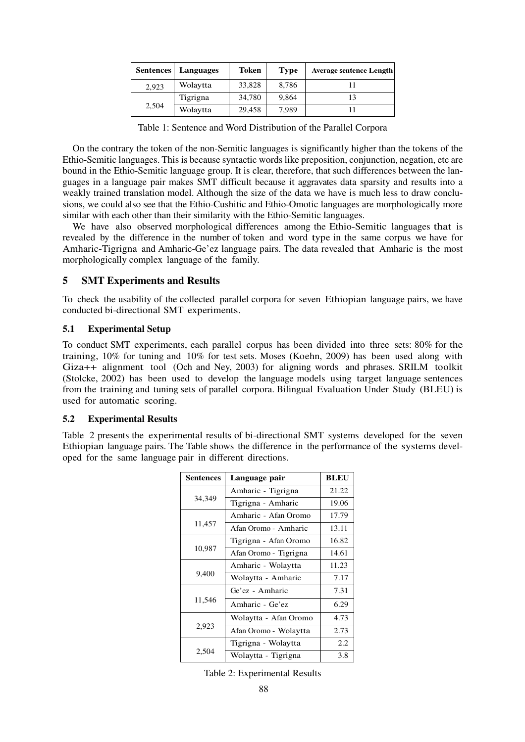| <b>Sentences</b> | Languages | Token  | <b>Type</b> | <b>Average sentence Length</b> |
|------------------|-----------|--------|-------------|--------------------------------|
| 2.923            | Wolaytta  | 33,828 | 8.786       |                                |
| 2,504            | Tigrigna  | 34,780 | 9,864       |                                |
|                  | Wolaytta  | 29,458 | 7.989       |                                |

Table 1: Sentence and Word Distribution of the Parallel Corpora

On the contrary the token of the non-Semitic languages is significantly higher than the tokens of the Ethio-Semitic languages. This is because syntactic words like preposition, conjunction, negation, etc are bound in the Ethio-Semitic language group. It is clear, therefore, that such differences between the languages in a language pair makes SMT difficult because it aggravates data sparsity and results into a weakly trained translation model. Although the size of the data we have is much less to draw conclusions, we could also see that the Ethio-Cushitic and Ethio-Omotic languages are morphologically more similar with each other than their similarity with the Ethio-Semitic languages.

We have also observed morphological differences among the Ethio-Semitic languages that is revealed by the difference in the number of token and word type in the same corpus we have for Amharic-Tigrigna and Amharic-Ge'ez language pairs. The data revealed that Amharic is the most morphologically complex language of the family.

### **5 SMT Experiments and Results**

To check the usability of the collected parallel corpora for seven Ethiopian language pairs, we have conducted bi-directional SMT experiments.

#### **5.1 Experimental Setup**

To conduct SMT experiments, each parallel corpus has been divided into three sets: 80% for the training, 10% for tuning and 10% for test sets. Moses (Koehn, 2009) has been used along with Giza++ alignment tool (Och and Ney, 2003) for aligning words and phrases. SRILM toolkit (Stolcke, 2002) has been used to develop the language models using target language sentences from the training and tuning sets of parallel corpora. Bilingual Evaluation Under Study (BLEU) is used for automatic scoring.

#### **5.2 Experimental Results**

Table 2 presents the experimental results of bi-directional SMT systems developed for the seven Ethiopian language pairs. The Table shows the difference in the performance of the systems developed for the same language pair in different directions.

| <b>Sentences</b> | Language pair         | <b>BLEU</b> |
|------------------|-----------------------|-------------|
|                  | Amharic - Tigrigna    | 21.22       |
| 34,349           | Tigrigna - Amharic    | 19.06       |
|                  | Amharic - Afan Oromo  | 17.79       |
| 11,457           | Afan Oromo - Amharic  | 13.11       |
|                  | Tigrigna - Afan Oromo | 16.82       |
| 10,987           | Afan Oromo - Tigrigna | 14.61       |
|                  | Amharic - Wolaytta    | 11.23       |
| 9,400            | Wolaytta - Amharic    | 7.17        |
|                  | Ge'ez - Amharic       | 7.31        |
| 11,546           | Amharic - Ge'ez       | 6.29        |
|                  | Wolaytta - Afan Oromo | 4.73        |
| 2,923            | Afan Oromo - Wolaytta | 2.73        |
|                  | Tigrigna - Wolaytta   | 2.2         |
| 2,504            | Wolaytta - Tigrigna   | 3.8         |

Table 2: Experimental Results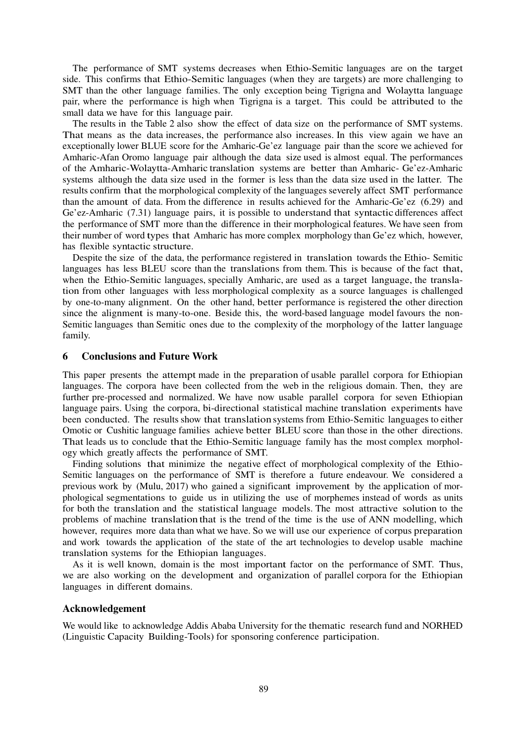The performance of SMT systems decreases when Ethio-Semitic languages are on the target side. This confirms that Ethio-Semitic languages (when they are targets) are more challenging to SMT than the other language families. The only exception being Tigrigna and Wolaytta language pair, where the performance is high when Tigrigna is a target. This could be attributed to the small data we have for this language pair.

The results in the Table 2 also show the effect of data size on the performance of SMT systems. That means as the data increases, the performance also increases. In this view again we have an exceptionally lower BLUE score for the Amharic-Ge'ez language pair than the score we achieved for Amharic-Afan Oromo language pair although the data size used is almost equal. The performances of the Amharic-Wolaytta-Amharic translation systems are better than Amharic- Ge'ez-Amharic systems although the data size used in the former is less than the data size used in the latter. The results confirm that the morphological complexity of the languages severely affect SMT performance than the amount of data. From the difference in results achieved for the Amharic-Ge'ez (6.29) and Ge'ez-Amharic (7.31) language pairs, it is possible to understand that syntactic differences affect the performance of SMT more than the difference in their morphological features. We have seen from their number of word types that Amharic has more complex morphology than Ge'ez which, however, has flexible syntactic structure.

Despite the size of the data, the performance registered in translation towards the Ethio- Semitic languages has less BLEU score than the translations from them. This is because of the fact that, when the Ethio-Semitic languages, specially Amharic, are used as a target language, the translation from other languages with less morphological complexity as a source languages is challenged by one-to-many alignment. On the other hand, better performance is registered the other direction since the alignment is many-to-one. Beside this, the word-based language model favours the non-Semitic languages than Semitic ones due to the complexity of the morphology of the latter language family.

#### **6 Conclusions and Future Work**

This paper presents the attempt made in the preparation of usable parallel corpora for Ethiopian languages. The corpora have been collected from the web in the religious domain. Then, they are further pre-processed and normalized. We have now usable parallel corpora for seven Ethiopian language pairs. Using the corpora, bi-directional statistical machine translation experiments have been conducted. The results show that translation systems from Ethio-Semitic languages to either Omotic or Cushitic language families achieve better BLEU score than those in the other directions. That leads us to conclude that the Ethio-Semitic language family has the most complex morphology which greatly affects the performance of SMT.

Finding solutions that minimize the negative effect of morphological complexity of the Ethio-Semitic languages on the performance of SMT is therefore a future endeavour. We considered a previous work by (Mulu, 2017) who gained a significant improvement by the application of morphological segmentations to guide us in utilizing the use of morphemes instead of words as units for both the translation and the statistical language models. The most attractive solution to the problems of machine translation that is the trend of the time is the use of ANN modelling, which however, requires more data than what we have. So we will use our experience of corpus preparation and work towards the application of the state of the art technologies to develop usable machine translation systems for the Ethiopian languages.

As it is well known, domain is the most important factor on the performance of SMT. Thus, we are also working on the development and organization of parallel corpora for the Ethiopian languages in different domains.

#### **Acknowledgement**

We would like to acknowledge Addis Ababa University for the thematic research fund and NORHED (Linguistic Capacity Building-Tools) for sponsoring conference participation.